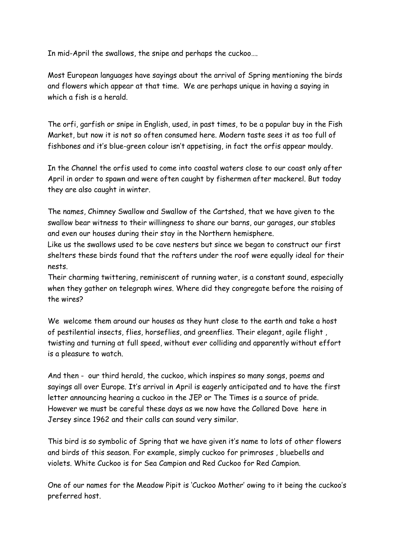In mid-April the swallows, the snipe and perhaps the cuckoo….

Most European languages have sayings about the arrival of Spring mentioning the birds and flowers which appear at that time. We are perhaps unique in having a saying in which a fish is a herald.

The orfi, garfish or snipe in English, used, in past times, to be a popular buy in the Fish Market, but now it is not so often consumed here. Modern taste sees it as too full of fishbones and it's blue-green colour isn't appetising, in fact the orfis appear mouldy.

In the Channel the orfis used to come into coastal waters close to our coast only after April in order to spawn and were often caught by fishermen after mackerel. But today they are also caught in winter.

The names, Chimney Swallow and Swallow of the Cartshed, that we have given to the swallow bear witness to their willingness to share our barns, our garages, our stables and even our houses during their stay in the Northern hemisphere.

Like us the swallows used to be cave nesters but since we began to construct our first shelters these birds found that the rafters under the roof were equally ideal for their nests.

Their charming twittering, reminiscent of running water, is a constant sound, especially when they gather on telegraph wires. Where did they congregate before the raising of the wires?

We welcome them around our houses as they hunt close to the earth and take a host of pestilential insects, flies, horseflies, and greenflies. Their elegant, agile flight , twisting and turning at full speed, without ever colliding and apparently without effort is a pleasure to watch.

And then - our third herald, the cuckoo, which inspires so many songs, poems and sayings all over Europe. It's arrival in April is eagerly anticipated and to have the first letter announcing hearing a cuckoo in the JEP or The Times is a source of pride. However we must be careful these days as we now have the Collared Dove here in Jersey since 1962 and their calls can sound very similar.

This bird is so symbolic of Spring that we have given it's name to lots of other flowers and birds of this season. For example, simply cuckoo for primroses , bluebells and violets. White Cuckoo is for Sea Campion and Red Cuckoo for Red Campion.

One of our names for the Meadow Pipit is 'Cuckoo Mother' owing to it being the cuckoo's preferred host.